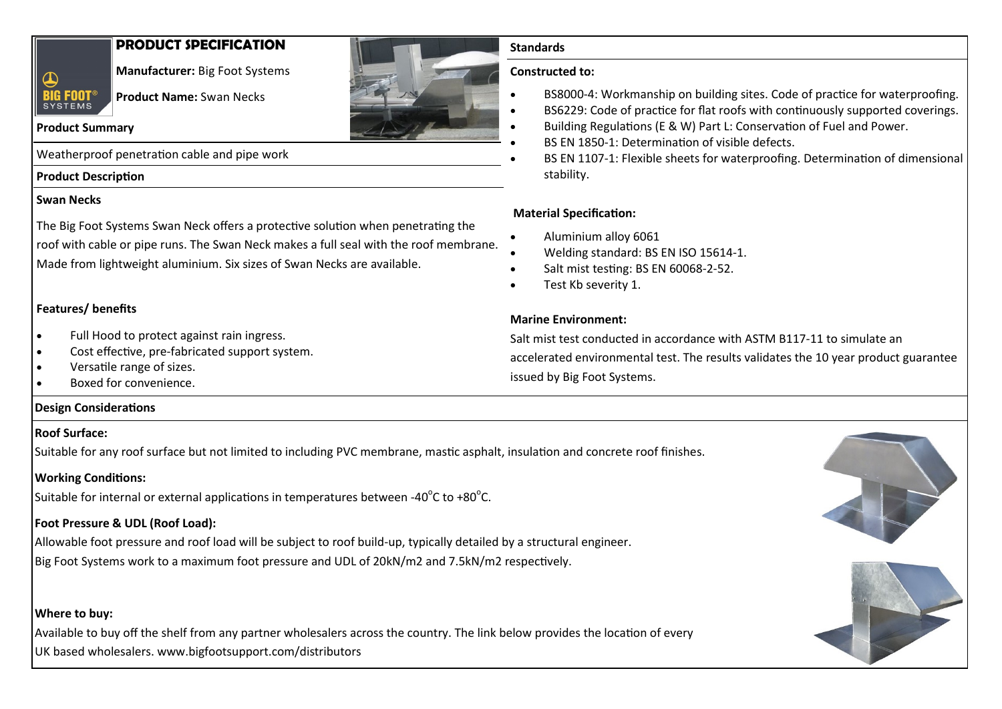# **PRODUCT SPECIFICATION**



**Manufacturer:** Big Foot Systems

**Product Name:** Swan Necks

#### **Product Summary**

Weatherproof penetration cable and pipe work

# **Product Description**

#### **Swan Necks**

The Big Foot Systems Swan Neck offers a protective solution when penetrating the roof with cable or pipe runs. The Swan Neck makes a full seal with the roof membrane. Made from lightweight aluminium. Six sizes of Swan Necks are available.

#### **Features/ benefits**

- Full Hood to protect against rain ingress.
- Cost effective, pre-fabricated support system.
- Versatile range of sizes.
- Boxed for convenience.

#### **Design Considerations**

#### **Roof Surface:**

Suitable for any roof surface but not limited to including PVC membrane, mastic asphalt, insulation and concrete roof finishes.

# **Working Conditions:**

Suitable for internal or external applications in temperatures between -40 $^{\circ}$ C to +80 $^{\circ}$ C.

# **Foot Pressure & UDL (Roof Load):**

Allowable foot pressure and roof load will be subject to roof build-up, typically detailed by a structural engineer. Big Foot Systems work to a maximum foot pressure and UDL of 20kN/m2 and 7.5kN/m2 respectively.

# **Where to buy:**

Available to buy off the shelf from any partner wholesalers across the country. The link below provides the location of every UK based wholesalers. www.bigfootsupport.com/distributors



#### **Standards**

#### **Constructed to:**

- BS8000-4: Workmanship on building sites. Code of practice for waterproofing.
- BS6229: Code of practice for flat roofs with continuously supported coverings.
- Building Regulations (E & W) Part L: Conservation of Fuel and Power.
- BS EN 1850-1: Determination of visible defects.
- BS EN 1107-1: Flexible sheets for waterproofing. Determination of dimensional stability.

# **Material Specification:**

- Aluminium alloy 6061
- Welding standard: BS EN ISO 15614-1.
- Salt mist testing: BS EN 60068-2-52.
- Test Kb severity 1.

# **Marine Environment:**

Salt mist test conducted in accordance with ASTM B117-11 to simulate an accelerated environmental test. The results validates the 10 year product guarantee issued by Big Foot Systems.